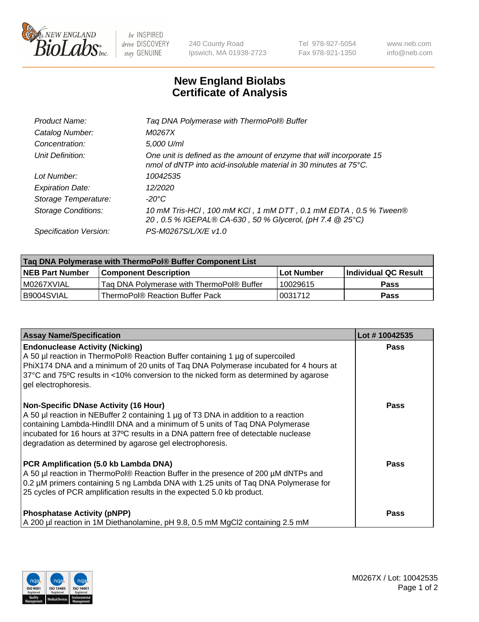

 $be$  INSPIRED drive DISCOVERY stay GENUINE

240 County Road Ipswich, MA 01938-2723 Tel 978-927-5054 Fax 978-921-1350 www.neb.com info@neb.com

## **New England Biolabs Certificate of Analysis**

| Catalog Number:<br>M0267X<br>5,000 U/ml<br>Concentration:<br>Unit Definition:<br>One unit is defined as the amount of enzyme that will incorporate 15<br>nmol of dNTP into acid-insoluble material in 30 minutes at 75°C.<br>Lot Number:<br>10042535<br>12/2020<br><b>Expiration Date:</b><br>$-20^{\circ}$ C<br>Storage Temperature:<br><b>Storage Conditions:</b><br>20, 0.5 % IGEPAL® CA-630, 50 % Glycerol, (pH 7.4 @ 25°C)<br>PS-M0267S/L/X/E v1.0<br>Specification Version: | Product Name: | Tag DNA Polymerase with ThermoPol® Buffer                       |
|-----------------------------------------------------------------------------------------------------------------------------------------------------------------------------------------------------------------------------------------------------------------------------------------------------------------------------------------------------------------------------------------------------------------------------------------------------------------------------------|---------------|-----------------------------------------------------------------|
|                                                                                                                                                                                                                                                                                                                                                                                                                                                                                   |               |                                                                 |
|                                                                                                                                                                                                                                                                                                                                                                                                                                                                                   |               |                                                                 |
|                                                                                                                                                                                                                                                                                                                                                                                                                                                                                   |               |                                                                 |
|                                                                                                                                                                                                                                                                                                                                                                                                                                                                                   |               |                                                                 |
|                                                                                                                                                                                                                                                                                                                                                                                                                                                                                   |               |                                                                 |
|                                                                                                                                                                                                                                                                                                                                                                                                                                                                                   |               |                                                                 |
|                                                                                                                                                                                                                                                                                                                                                                                                                                                                                   |               | 10 mM Tris-HCl, 100 mM KCl, 1 mM DTT, 0.1 mM EDTA, 0.5 % Tween® |
|                                                                                                                                                                                                                                                                                                                                                                                                                                                                                   |               |                                                                 |

| Taq DNA Polymerase with ThermoPol® Buffer Component List |                                           |                   |                      |  |
|----------------------------------------------------------|-------------------------------------------|-------------------|----------------------|--|
| <b>NEB Part Number</b>                                   | <b>Component Description</b>              | <b>Lot Number</b> | Individual QC Result |  |
| IM0267XVIAL                                              | Taq DNA Polymerase with ThermoPol® Buffer | 10029615          | <b>Pass</b>          |  |
| I B9004SVIAL                                             | ThermoPol® Reaction Buffer Pack           | 10031712          | Pass                 |  |

| <b>Assay Name/Specification</b>                                                                                                                                                                                                                                                                                                                                        | Lot #10042535 |
|------------------------------------------------------------------------------------------------------------------------------------------------------------------------------------------------------------------------------------------------------------------------------------------------------------------------------------------------------------------------|---------------|
| <b>Endonuclease Activity (Nicking)</b><br>A 50 µl reaction in ThermoPol® Reaction Buffer containing 1 µg of supercoiled<br>PhiX174 DNA and a minimum of 20 units of Taq DNA Polymerase incubated for 4 hours at<br>37°C and 75°C results in <10% conversion to the nicked form as determined by agarose<br>gel electrophoresis.                                        | <b>Pass</b>   |
| <b>Non-Specific DNase Activity (16 Hour)</b><br>A 50 µl reaction in NEBuffer 2 containing 1 µg of T3 DNA in addition to a reaction<br>containing Lambda-HindIII DNA and a minimum of 5 units of Taq DNA Polymerase<br>incubated for 16 hours at 37°C results in a DNA pattern free of detectable nuclease<br>degradation as determined by agarose gel electrophoresis. | Pass          |
| PCR Amplification (5.0 kb Lambda DNA)<br>A 50 µl reaction in ThermoPol® Reaction Buffer in the presence of 200 µM dNTPs and<br>0.2 µM primers containing 5 ng Lambda DNA with 1.25 units of Taq DNA Polymerase for<br>25 cycles of PCR amplification results in the expected 5.0 kb product.                                                                           | Pass          |
| <b>Phosphatase Activity (pNPP)</b><br>A 200 µl reaction in 1M Diethanolamine, pH 9.8, 0.5 mM MgCl2 containing 2.5 mM                                                                                                                                                                                                                                                   | Pass          |